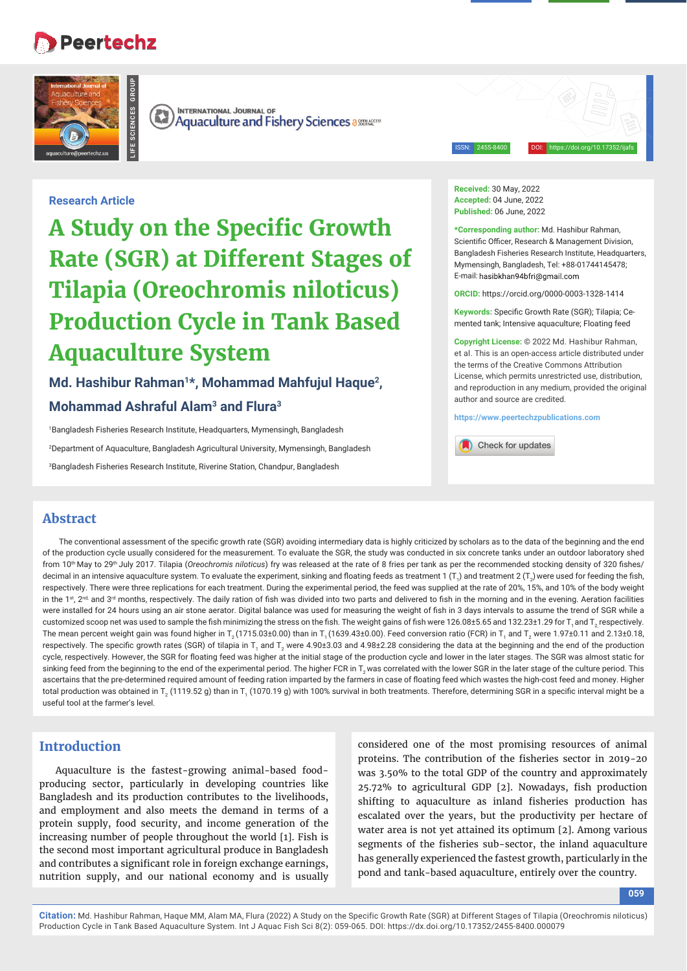# **Peertechz**

**LIFE SCIENCES GROUP**



**INTERNATIONAL JOURNAL OF**  $\left(\mathbb{R}\right)$ **Aquaculture and Fishery Sciences assessed Aquaculture and Fishery Sciences** 

ISSN: 2455-8400 DOI: https://doi.org/10.17352/ijafs

**Research Article**

**A Study on the Specific Growth Rate (SGR) at Different Stages of Tilapia (Oreochromis niloticus) Production Cycle in Tank Based Aquaculture System**

**Md. Hashibur Rahman1\*, Mohammad Mahfujul Haque2, Mohammad Ashraful Alam3 and Flura3**

1 Bangladesh Fisheries Research Institute, Headquarters, Mymensingh, Bangladesh 2 Department of Aquaculture, Bangladesh Agricultural University, Mymensingh, Bangladesh 3 Bangladesh Fisheries Research Institute, Riverine Station, Chandpur, Bangladesh

**Received:** 30 May, 2022 **Accepted:** 04 June, 2022 **Published:** 06 June, 2022

**\*Corresponding author:** Md. Hashibur Rahman, Scientific Officer, Research & Management Division, Bangladesh Fisheries Research Institute, Headquarters, Mymensingh, Bangladesh, Tel: +88-01744145478; E-mail: hasibkhan94bfri@gmail.com

**ORCID:** https://orcid.org/0000-0003-1328-1414

**Keywords:** Specific Growth Rate (SGR); Tilapia; Cemented tank; Intensive aquaculture; Floating feed

**Copyright License:** © 2022 Md. Hashibur Rahman, et al. This is an open-access article distributed under the terms of the Creative Commons Attribution License, which permits unrestricted use, distribution, and reproduction in any medium, provided the original author and source are credited.

**https://www.peertechzpublications.com**

Check for updates

## **Abstract**

The conventional assessment of the specific growth rate (SGR) avoiding intermediary data is highly criticized by scholars as to the data of the beginning and the end of the production cycle usually considered for the measurement. To evaluate the SGR, the study was conducted in six concrete tanks under an outdoor laboratory shed from 10<sup>th</sup> May to 29<sup>th</sup> July 2017. Tilapia (*Oreochromis niloticus*) fry was released at the rate of 8 fries per tank as per the recommended stocking density of 320 fishes/ decimal in an intensive aquaculture system. To evaluate the experiment, sinking and floating feeds as treatment 1 (T<sub>1</sub>) and treatment 2 (T<sub>2</sub>) were used for feeding the fish, respectively. There were three replications for each treatment. During the experimental period, the feed was supplied at the rate of 20%, 15%, and 10% of the body weight in the  $1$ <sup>st</sup>,  $2<sup>nd</sup>$  and  $3<sup>rd</sup>$  months, respectively. The daily ration of fish was divided into two parts and delivered to fish in the morning and in the evening. Aeration facilities were installed for 24 hours using an air stone aerator. Digital balance was used for measuring the weight of fish in 3 days intervals to assume the trend of SGR while a customized scoop net was used to sample the fish minimizing the stress on the fish. The weight gains of fish were 126.08±5.65 and 132.23±1.29 for T, and T, respectively. The mean percent weight gain was found higher in T<sub>2</sub> (1715.03±0.00) than in T<sub>1</sub> (1639.43±0.00). Feed conversion ratio (FCR) in T<sub>1</sub> and T<sub>2</sub> were 1.97±0.11 and 2.13±0.18, respectively. The specific growth rates (SGR) of tilapia in T<sub>1</sub> and T<sub>2</sub> were 4.90±3.03 and 4.98±2.28 considering the data at the beginning and the end of the production cycle, respectively. However, the SGR for floating feed was higher at the initial stage of the production cycle and lower in the later stages. The SGR was almost static for sinking feed from the beginning to the end of the experimental period. The higher FCR in  $T$ , was correlated with the lower SGR in the later stage of the culture period. This ascertains that the pre-determined required amount of feeding ration imparted by the farmers in case of floating feed which wastes the high-cost feed and money. Higher total production was obtained in T $_{\rm 2}$  (1119.52 g) than in T $_{\rm 1}$  (1070.19 g) with 100% survival in both treatments. Therefore, determining SGR in a specific interval might be a useful tool at the farmer's level.

# **Introduction**

Aquaculture is the fastest-growing animal-based foodproducing sector, particularly in developing countries like Bangladesh and its production contributes to the livelihoods, and employment and also meets the demand in terms of a protein supply, food security, and income generation of the increasing number of people throughout the world [1]. Fish is the second most important agricultural produce in Bangladesh and contributes a significant role in foreign exchange earnings, nutrition supply, and our national economy and is usually

considered one of the most promising resources of animal proteins. The contribution of the fisheries sector in 2019-20 was 3.50% to the total GDP of the country and approximately  $25.72\%$  to agricultural GDP [2]. Nowadays, fish production shifting to aquaculture as inland fisheries production has escalated over the years, but the productivity per hectare of water area is not yet attained its optimum [2]. Among various segments of the fisheries sub-sector, the inland aquaculture has generally experienced the fastest growth, particularly in the pond and tank-based aquaculture, entirely over the country.

**059**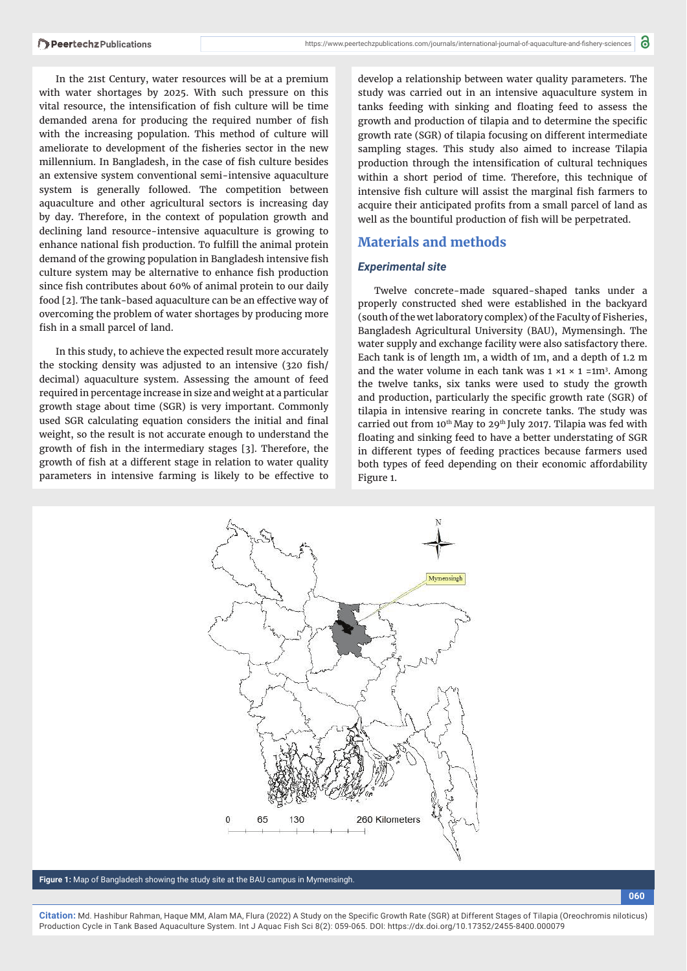In the 21st Century, water resources will be at a premium with water shortages by 2025. With such pressure on this vital resource, the intensification of fish culture will be time demanded arena for producing the required number of fish with the increasing population. This method of culture will ameliorate to development of the fisheries sector in the new millennium. In Bangladesh, in the case of fish culture besides an extensive system conventional semi-intensive aquaculture system is generally followed. The competition between aquaculture and other agricultural sectors is increasing day by day. Therefore, in the context of population growth and declining land resource-intensive aquaculture is growing to enhance national fish production. To fulfill the animal protein demand of the growing population in Bangladesh intensive fish culture system may be alternative to enhance fish production since fish contributes about 60% of animal protein to our daily food [2]. The tank-based aquaculture can be an effective way of overcoming the problem of water shortages by producing more fish in a small parcel of land.

In this study, to achieve the expected result more accurately the stocking density was adjusted to an intensive (320 fish/ decimal) aquaculture system. Assessing the amount of feed required in percentage increase in size and weight at a particular growth stage about time (SGR) is very important. Commonly used SGR calculating equation considers the initial and final weight, so the result is not accurate enough to understand the growth of fish in the intermediary stages [3]. Therefore, the growth of fish at a different stage in relation to water quality parameters in intensive farming is likely to be effective to

develop a relationship between water quality parameters. The study was carried out in an intensive aquaculture system in tanks feeding with sinking and floating feed to assess the growth and production of tilapia and to determine the specific growth rate (SGR) of tilapia focusing on different intermediate sampling stages. This study also aimed to increase Tilapia production through the intensification of cultural techniques within a short period of time. Therefore, this technique of intensive fish culture will assist the marginal fish farmers to acquire their anticipated profits from a small parcel of land as well as the bountiful production of fish will be perpetrated.

## **Materials and methods**

#### *Experimental site*

Twelve concrete-made squared-shaped tanks under a properly constructed shed were established in the backyard (south of the wet laboratory complex) of the Faculty of Fisheries, Bangladesh Agricultural University (BAU), Mymensingh. The water supply and exchange facility were also satisfactory there. Each tank is of length 1m, a width of 1m, and a depth of 1.2 m and the water volume in each tank was  $1 \times 1 \times 1 = 1$ m<sup>3</sup>. Among the twelve tanks, six tanks were used to study the growth and production, particularly the specific growth rate (SGR) of tilapia in intensive rearing in concrete tanks. The study was carried out from 10<sup>th</sup> May to 29<sup>th</sup> July 2017. Tilapia was fed with floating and sinking feed to have a better understating of SGR in different types of feeding practices because farmers used both types of feed depending on their economic affordability Figure 1.



**Figure 1:** Map of Bangladesh showing the study site at the BAU campus in Mymensingh.

**060**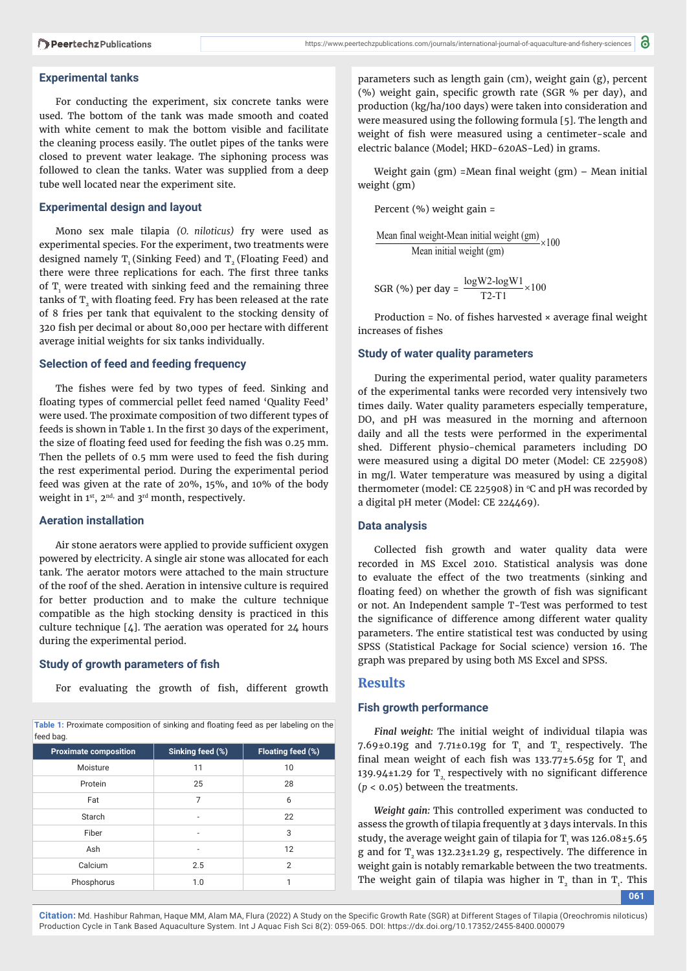#### **Experimental tanks**

For conducting the experiment, six concrete tanks were used. The bottom of the tank was made smooth and coated with white cement to mak the bottom visible and facilitate the cleaning process easily. The outlet pipes of the tanks were closed to prevent water leakage. The siphoning process was followed to clean the tanks. Water was supplied from a deep tube well located near the experiment site.

## **Experimental design and layout**

Mono sex male tilapia *(O. niloticus)* fry were used as experimental species. For the experiment, two treatments were designed namely  $T<sub>1</sub>$  (Sinking Feed) and  $T<sub>2</sub>$  (Floating Feed) and there were three replications for each. The first three tanks of  $T_{1}$  were treated with sinking feed and the remaining three tanks of  $T<sub>2</sub>$  with floating feed. Fry has been released at the rate of 8 fries per tank that equivalent to the stocking density of 320 fish per decimal or about 80,000 per hectare with different average initial weights for six tanks individually.

#### **Selection of feed and feeding frequency**

The fishes were fed by two types of feed. Sinking and floating types of commercial pellet feed named 'Quality Feed' were used. The proximate composition of two different types of feeds is shown in Table 1. In the first 30 days of the experiment, the size of floating feed used for feeding the fish was 0.25 mm. Then the pellets of 0.5 mm were used to feed the fish during the rest experimental period. During the experimental period feed was given at the rate of 20%, 15%, and 10% of the body weight in 1st, 2<sup>nd,</sup> and 3<sup>rd</sup> month, respectively.

## **Aeration installation**

Air stone aerators were applied to provide sufficient oxygen powered by electricity. A single air stone was allocated for each tank. The aerator motors were attached to the main structure of the roof of the shed. Aeration in intensive culture is required for better production and to make the culture technique compatible as the high stocking density is practiced in this culture technique  $[4]$ . The aeration was operated for  $24$  hours during the experimental period.

## **Study of growth parameters of fish**

For evaluating the growth of fish, different growth

Table 1: Proximate composition of sinking and floating feed as per labeling on the feed bag.

| <b>Proximate composition</b> | Sinking feed (%) | Floating feed (%) |
|------------------------------|------------------|-------------------|
| Moisture                     | 11               | 10                |
| Protein                      | 25               | 28                |
| Fat                          | 7                | 6                 |
| Starch                       |                  | 22                |
| Fiber                        | ۰                | 3                 |
| Ash                          | ۰                | 12                |
| Calcium                      | 2.5              | $\overline{2}$    |
| Phosphorus                   | 1.0              |                   |

parameters such as length gain (cm), weight gain (g), percent (%) weight gain, specific growth rate (SGR % per day), and production (kg/ha/100 days) were taken into consideration and were measured using the following formula [5]. The length and weight of fish were measured using a centimeter-scale and electric balance (Model; HKD-620AS-Led) in grams.

Weight gain (gm) =Mean final weight (gm)  $-$  Mean initial weight (gm)

Percent (%) weight gain =

Mean final weight-Mean initial weight  $(gm)$ <sub>2100</sub> Mean initial weight (gm)

SGR (%) per day =  $\frac{\log W2 - \log W1}{T2 - T1}$  × 100

Production = No. of fishes harvested  $\times$  average final weight increases of fishes

### **Study of water quality parameters**

During the experimental period, water quality parameters of the experimental tanks were recorded very intensively two times daily. Water quality parameters especially temperature, DO, and pH was measured in the morning and afternoon daily and all the tests were performed in the experimental shed. Different physio-chemical parameters including DO were measured using a digital DO meter (Model: CE 225908) in mg/l. Water temperature was measured by using a digital thermometer (model: CE 225908) in  $\degree$ C and pH was recorded by a digital pH meter (Model: CE 224469).

#### **Data analysis**

Collected fish growth and water quality data were recorded in MS Excel 2010. Statistical analysis was done to evaluate the effect of the two treatments (sinking and floating feed) on whether the growth of fish was significant or not. An Independent sample T-Test was performed to test the significance of difference among different water quality parameters. The entire statistical test was conducted by using SPSS (Statistical Package for Social science) version 16. The graph was prepared by using both MS Excel and SPSS.

## **Results**

## **Fish growth performance**

*Final weight:* The initial weight of individual tilapia was 7.69±0.19g and 7.71±0.19g for  $T_{1}$  and  $T_{2}$  respectively. The final mean weight of each fish was  $133.77 \pm 5.65$ g for T<sub>1</sub> and 139.94±1.29 for  $T_2$  respectively with no significant difference (*p* < 0.05) between the treatments.

*Weight gain:* This controlled experiment was conducted to assess the growth of tilapia frequently at 3 days intervals. In this study, the average weight gain of tilapia for  $T_{1}$  was 126.08±5.65 g and for T<sub>2</sub> was 132.23±1.29 g, respectively. The difference in weight gain is notably remarkable between the two treatments. The weight gain of tilapia was higher in  $T<sub>2</sub>$  than in  $T<sub>1</sub>$ . This

**061**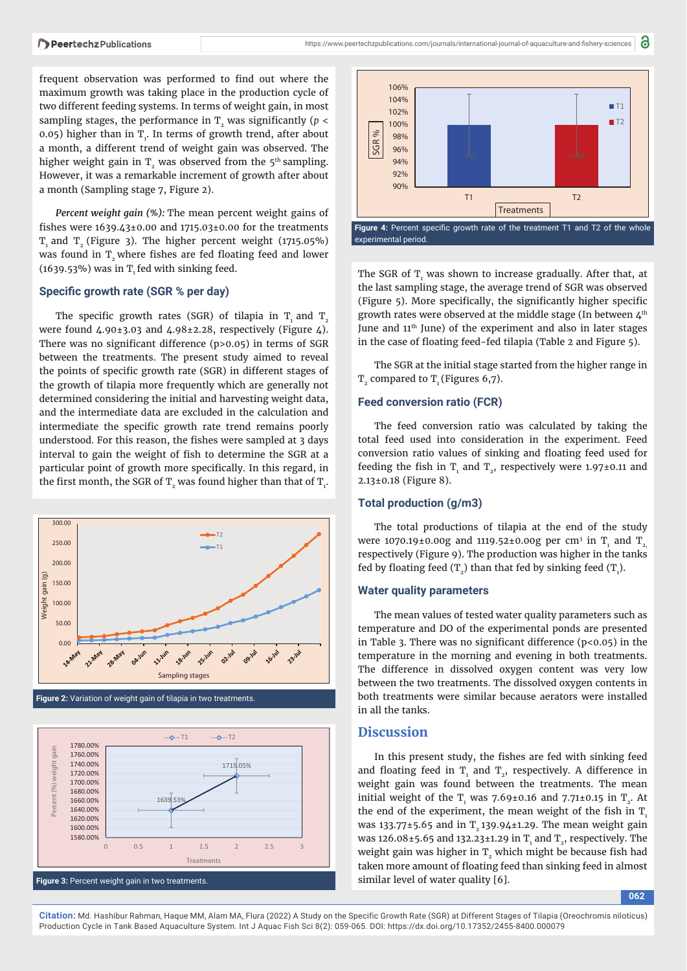frequent observation was performed to find out where the maximum growth was taking place in the production cycle of two different feeding systems. In terms of weight gain, in most sampling stages, the performance in  $T<sub>2</sub>$  was significantly ( $p <$ 0.05) higher than in  $T_i$ . In terms of growth trend, after about a month, a different trend of weight gain was observed. The higher weight gain in  $T<sub>2</sub>$  was observed from the 5<sup>th</sup> sampling. However, it was a remarkable increment of growth after about a month (Sampling stage 7, Figure 2).

*Percent weight gain (%):* The mean percent weight gains of fishes were  $1639.43\pm0.00$  and  $1715.03\pm0.00$  for the treatments T, and T<sub>2</sub> (Figure 3). The higher percent weight (1715.05%) was found in  $T<sub>2</sub>$  where fishes are fed floating feed and lower  $(1639.53%)$  was in T<sub>1</sub> fed with sinking feed.

#### **Specific growth rate (SGR % per day)**

The specific growth rates (SGR) of tilapia in  $T_1$  and  $T_2$ were found  $4.90\pm3.03$  and  $4.98\pm2.28$ , respectively (Figure 4). There was no significant difference  $(p>0.05)$  in terms of SGR between the treatments. The present study aimed to reveal the points of specific growth rate (SGR) in different stages of the growth of tilapia more frequently which are generally not determined considering the initial and harvesting weight data, and the intermediate data are excluded in the calculation and intermediate the specific growth rate trend remains poorly understood. For this reason, the fishes were sampled at 3 days interval to gain the weight of fish to determine the SGR at a particular point of growth more specifically. In this regard, in the first month, the SGR of  $\texttt{T}_{\texttt{2}}$  was found higher than that of  $\texttt{T}_{\texttt{1}}$ .



**Figure 2:** Variation of weight gain of tilapia in two treatments.





a

The SGR of  $T_1$  was shown to increase gradually. After that, at the last sampling stage, the average trend of SGR was observed (Figure  $5$ ). More specifically, the significantly higher specific growth rates were observed at the middle stage (In between 4th June and 11<sup>th</sup> June) of the experiment and also in later stages in the case of floating feed-fed tilapia (Table 2 and Figure 5).

The SGR at the initial stage started from the higher range in  $T<sub>2</sub>$  compared to  $T<sub>1</sub>$  (Figures 6,7).

#### **Feed conversion ratio (FCR)**

The feed conversion ratio was calculated by taking the total feed used into consideration in the experiment. Feed conversion ratio values of sinking and floating feed used for feeding the fish in  $T_1$  and  $T_2$ , respectively were 1.97±0.11 and 2.13±0.18 (Figure 8).

#### **Total production (g/m3)**

The total productions of tilapia at the end of the study were 1070.19±0.00g and 1119.52±0.00g per cm<sup>3</sup> in T<sub>1</sub> and T<sub>2,</sub> respectively (Figure 9). The production was higher in the tanks fed by floating feed  $(T_2)$  than that fed by sinking feed  $(T_1)$ .

#### **Water quality parameters**

The mean values of tested water quality parameters such as temperature and DO of the experimental ponds are presented in Table 3. There was no significant difference ( $p$ <0.05) in the temperature in the morning and evening in both treatments. The difference in dissolved oxygen content was very low between the two treatments. The dissolved oxygen contents in both treatments were similar because aerators were installed in all the tanks.

## **Discussion**

In this present study, the fishes are fed with sinking feed and floating feed in  $T_1$  and  $T_2$ , respectively. A difference in weight gain was found between the treatments. The mean initial weight of the  $T<sub>1</sub>$  was 7.69±0.16 and 7.71±0.15 in  $T<sub>2</sub>$ . At the end of the experiment, the mean weight of the fish in  $T<sub>1</sub>$ was 133.77 $\pm$ 5.65 and in T<sub>2</sub> 139.94 $\pm$ 1.29. The mean weight gain was 126.08±5.65 and 132.23±1.29 in  $T_1$  and  $T_2$ , respectively. The weight gain was higher in  $T$ , which might be because fish had taken more amount of floating feed than sinking feed in almost similar level of water quality [6].

**062**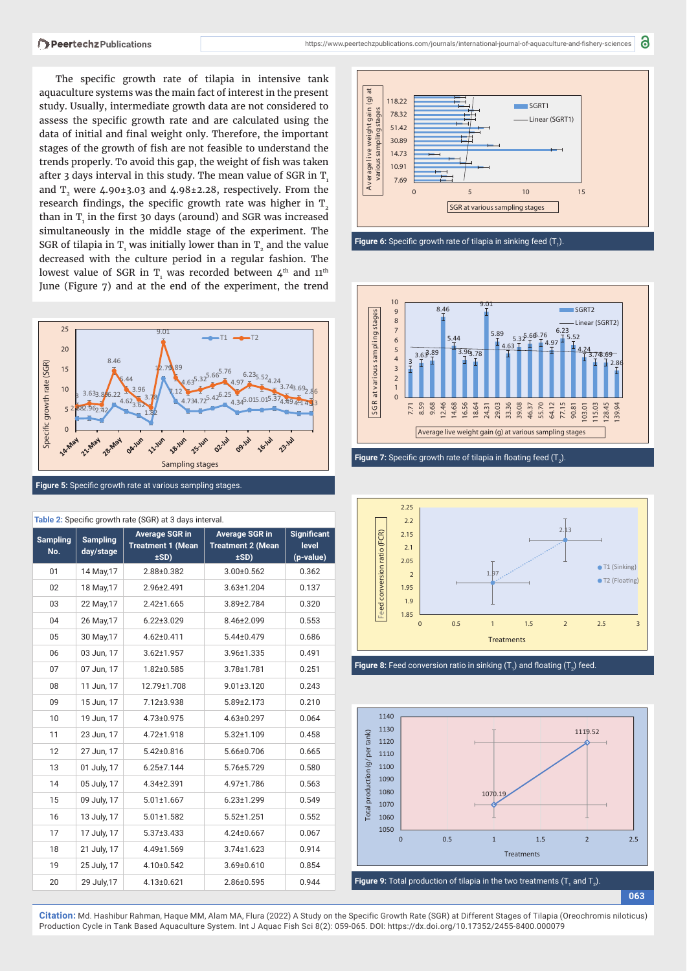The specific growth rate of tilapia in intensive tank aquaculture systems was the main fact of interest in the present study. Usually, intermediate growth data are not considered to assess the specific growth rate and are calculated using the data of initial and final weight only. Therefore, the important stages of the growth of fish are not feasible to understand the trends properly. To avoid this gap, the weight of fish was taken after 3 days interval in this study. The mean value of SGR in  $T<sub>1</sub>$ and  $T<sub>2</sub>$  were 4.90±3.03 and 4.98±2.28, respectively. From the research findings, the specific growth rate was higher in  $T<sub>2</sub>$ than in  $\text{T}_{\text{i}}$  in the first 30 days (around) and SGR was increased simultaneously in the middle stage of the experiment. The SGR of tilapia in  $T_{1}$  was initially lower than in  $T_{2}$  and the value decreased with the culture period in a regular fashion. The lowest value of SGR in  $\texttt{T}_{\text{\tiny{1}}}$  was recorded between  $\boldsymbol{\mathit{4}}^{\text{th}}$  and  $\boldsymbol{11}^{\text{th}}$ June (Figure 7) and at the end of the experiment, the trend



| Table 2: Specific growth rate (SGR) at 3 days interval. |                              |                                                           |                                                           |                                          |
|---------------------------------------------------------|------------------------------|-----------------------------------------------------------|-----------------------------------------------------------|------------------------------------------|
| <b>Sampling</b><br>No.                                  | <b>Sampling</b><br>day/stage | <b>Average SGR in</b><br><b>Treatment 1 (Mean</b><br>±SD) | <b>Average SGR in</b><br><b>Treatment 2 (Mean</b><br>±SD) | <b>Significant</b><br>level<br>(p-value) |
| 01                                                      | 14 May, 17                   | 2.88±0.382                                                | $3.00 \pm 0.562$                                          | 0.362                                    |
| 02                                                      | 18 May, 17                   | 2.96±2.491                                                | $3.63 \pm 1.204$                                          | 0.137                                    |
| 03                                                      | 22 May, 17                   | $2.42 \pm 1.665$                                          | 3.89±2.784                                                | 0.320                                    |
| 04                                                      | 26 May, 17                   | $6.22 \pm 3.029$                                          | 8.46±2.099                                                | 0.553                                    |
| 05                                                      | 30 May, 17                   | 4.62±0.411                                                | 5.44±0.479                                                | 0.686                                    |
| 06                                                      | 03 Jun, 17                   | $3.62 \pm 1.957$                                          | 3.96±1.335                                                | 0.491                                    |
| 07                                                      | 07 Jun, 17                   | $1.82 \pm 0.585$                                          | 3.78±1.781                                                | 0.251                                    |
| 08                                                      | 11 Jun, 17                   | 12.79±1.708                                               | $9.01 \pm 3.120$                                          | 0.243                                    |
| 09                                                      | 15 Jun, 17                   | 7.12±3.938                                                | 5.89±2.173                                                | 0.210                                    |
| 10                                                      | 19 Jun, 17                   | 4.73±0.975                                                | 4.63±0.297                                                | 0.064                                    |
| 11                                                      | 23 Jun, 17                   | 4.72±1.918                                                | $5.32 \pm 1.109$                                          | 0.458                                    |
| 12                                                      | 27 Jun, 17                   | $5.42 \pm 0.816$                                          | 5.66±0.706                                                | 0.665                                    |
| 13                                                      | 01 July, 17                  | $6.25 \pm 7.144$                                          | 5.76±5.729                                                | 0.580                                    |
| 14                                                      | 05 July, 17                  | 4.34±2.391                                                | 4.97±1.786                                                | 0.563                                    |
| 15                                                      | 09 July, 17                  | $5.01 \pm 1.667$                                          | $6.23 \pm 1.299$                                          | 0.549                                    |
| 16                                                      | 13 July, 17                  | $5.01 \pm 1.582$                                          | $5.52 \pm 1.251$                                          | 0.552                                    |
| 17                                                      | 17 July, 17                  | $5.37 \pm 3.433$                                          | 4.24±0.667                                                | 0.067                                    |
| 18                                                      | 21 July, 17                  | 4.49±1.569                                                | $3.74 \pm 1.623$                                          | 0.914                                    |
| 19                                                      | 25 July, 17                  | 4.10±0.542                                                | $3.69 \pm 0.610$                                          | 0.854                                    |
| 20                                                      | 29 July, 17                  | $4.13 \pm 0.621$                                          | 2.86±0.595                                                | 0.944                                    |

**t a) g( ni agt hgi e wevil egar ev A 118.22 SGRT1** stages **various sampling stages 78.32 Linear (SGRT1) 51.42** arious sampling **30.89 14.73 10.91 7.69 0 5 10 15 SGR at various sampling stages**







**Figure 8:** Feed conversion ratio in sinking  $(T_1)$  and floating  $(T_2)$  feed.



**063**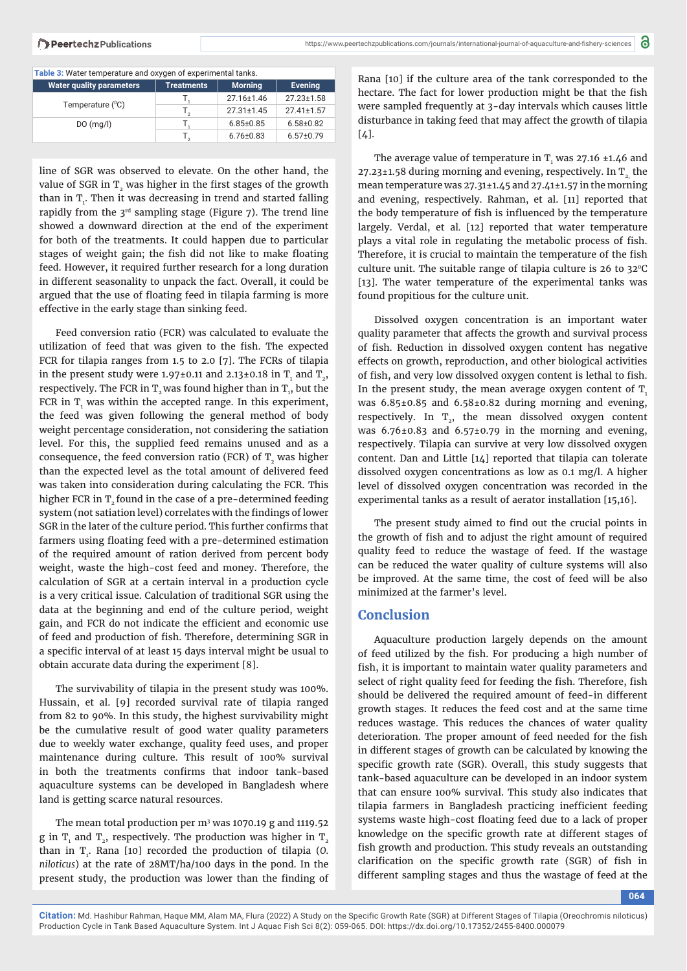|  |  | Table 3: Water temperature and oxygen of experimental tanks. |  |
|--|--|--------------------------------------------------------------|--|
|  |  |                                                              |  |

| <b>Water quality parameters</b> | <b>Treatments</b> | <b>Morning</b>   | <b>Evening</b>   |  |  |
|---------------------------------|-------------------|------------------|------------------|--|--|
| Temperature (°C)                |                   | 27.16±1.46       | 27.23±1.58       |  |  |
|                                 |                   | $27.31 \pm 1.45$ | $27.41 \pm 1.57$ |  |  |
| DO(mg/l)                        |                   | $6.85 \pm 0.85$  | $6.58 \pm 0.82$  |  |  |
|                                 |                   | $6.76 \pm 0.83$  | $6.57 \pm 0.79$  |  |  |

line of SGR was observed to elevate. On the other hand, the value of SGR in  $T$ , was higher in the first stages of the growth than in  $T_i$ . Then it was decreasing in trend and started falling rapidly from the  $3^{rd}$  sampling stage (Figure 7). The trend line showed a downward direction at the end of the experiment for both of the treatments. It could happen due to particular stages of weight gain; the fish did not like to make floating feed. However, it required further research for a long duration in different seasonality to unpack the fact. Overall, it could be argued that the use of floating feed in tilapia farming is more effective in the early stage than sinking feed.

Feed conversion ratio (FCR) was calculated to evaluate the utilization of feed that was given to the fish. The expected FCR for tilapia ranges from 1.5 to 2.0 [7]. The FCRs of tilapia in the present study were 1.97±0.11 and 2.13±0.18 in  $\text{T}_{_{1}}$  and  $\text{T}_{_{2}}$ , respectively. The FCR in  $\text{T}_\text{2}$  was found higher than in  $\text{T}_\text{1}$ , but the FCR in  $T_i$  was within the accepted range. In this experiment, the feed was given following the general method of body weight percentage consideration, not considering the satiation level. For this, the supplied feed remains unused and as a consequence, the feed conversion ratio (FCR) of  $T<sub>2</sub>$  was higher than the expected level as the total amount of delivered feed was taken into consideration during calculating the FCR. This higher FCR in  $T<sub>2</sub>$  found in the case of a pre-determined feeding system (not satiation level) correlates with the findings of lower SGR in the later of the culture period. This further confirms that farmers using floating feed with a pre-determined estimation of the required amount of ration derived from percent body weight, waste the high-cost feed and money. Therefore, the calculation of SGR at a certain interval in a production cycle is a very critical issue. Calculation of traditional SGR using the data at the beginning and end of the culture period, weight gain, and FCR do not indicate the efficient and economic use of feed and production of fish. Therefore, determining SGR in a specific interval of at least 15 days interval might be usual to obtain accurate data during the experiment [8].

The survivability of tilapia in the present study was 100%. Hussain, et al. [9] recorded survival rate of tilapia ranged from 82 to 90%. In this study, the highest survivability might be the cumulative result of good water quality parameters due to weekly water exchange, quality feed uses, and proper maintenance during culture. This result of 100% survival in both the treatments confirms that indoor tank-based aquaculture systems can be developed in Bangladesh where land is getting scarce natural resources.

The mean total production per m3 was 1070.19 g and 1119.52 g in  $\text{T}_{\scriptscriptstyle{1}}$  and  $\text{T}_{\scriptscriptstyle{2}}$ , respectively. The production was higher in  $\text{T}_{\scriptscriptstyle{2}}$ than in T1 . Rana [10] recorded the production of tilapia (*O. niloticus*) at the rate of 28MT/ha/100 days in the pond. In the present study, the production was lower than the finding of

Rana [10] if the culture area of the tank corresponded to the hectare. The fact for lower production might be that the fish were sampled frequently at 3-day intervals which causes little disturbance in taking feed that may affect the growth of tilapia  $[4]$ .

The average value of temperature in  $\text{T}_1$  was 27.16 ±1.46 and  $27.23\pm1.58$  during morning and evening, respectively. In T<sub>2</sub> the mean temperature was 27.31±1.45 and 27.41±1.57 in the morning and evening, respectively. Rahman, et al. [11] reported that the body temperature of fish is influenced by the temperature largely. Verdal, et al*.* [12] reported that water temperature plays a vital role in regulating the metabolic process of fish. Therefore, it is crucial to maintain the temperature of the fish culture unit. The suitable range of tilapia culture is 26 to  $32^{\circ}$ C [13]. The water temperature of the experimental tanks was found propitious for the culture unit.

Dissolved oxygen concentration is an important water quality parameter that affects the growth and survival process of fish. Reduction in dissolved oxygen content has negative effects on growth, reproduction, and other biological activities of fish, and very low dissolved oxygen content is lethal to fish. In the present study, the mean average oxygen content of  $T$ , was 6.85±0.85 and 6.58±0.82 during morning and evening, respectively. In  $T_{2}$ , the mean dissolved oxygen content was  $6.76\pm0.83$  and  $6.57\pm0.79$  in the morning and evening, respectively. Tilapia can survive at very low dissolved oxygen content. Dan and Little [14] reported that tilapia can tolerate dissolved oxygen concentrations as low as 0.1 mg/l. A higher level of dissolved oxygen concentration was recorded in the experimental tanks as a result of aerator installation [15,16].

The present study aimed to find out the crucial points in the growth of fish and to adjust the right amount of required quality feed to reduce the wastage of feed. If the wastage can be reduced the water quality of culture systems will also be improved. At the same time, the cost of feed will be also minimized at the farmer's level.

## **Conclusion**

Aquaculture production largely depends on the amount of feed utilized by the fish. For producing a high number of fish, it is important to maintain water quality parameters and select of right quality feed for feeding the fish. Therefore, fish should be delivered the required amount of feed-in different growth stages. It reduces the feed cost and at the same time reduces wastage. This reduces the chances of water quality deterioration. The proper amount of feed needed for the fish in different stages of growth can be calculated by knowing the specific growth rate (SGR). Overall, this study suggests that tank-based aquaculture can be developed in an indoor system that can ensure 100% survival. This study also indicates that tilapia farmers in Bangladesh practicing inefficient feeding systems waste high-cost floating feed due to a lack of proper knowledge on the specific growth rate at different stages of fish growth and production. This study reveals an outstanding clarification on the specific growth rate (SGR) of fish in different sampling stages and thus the wastage of feed at the